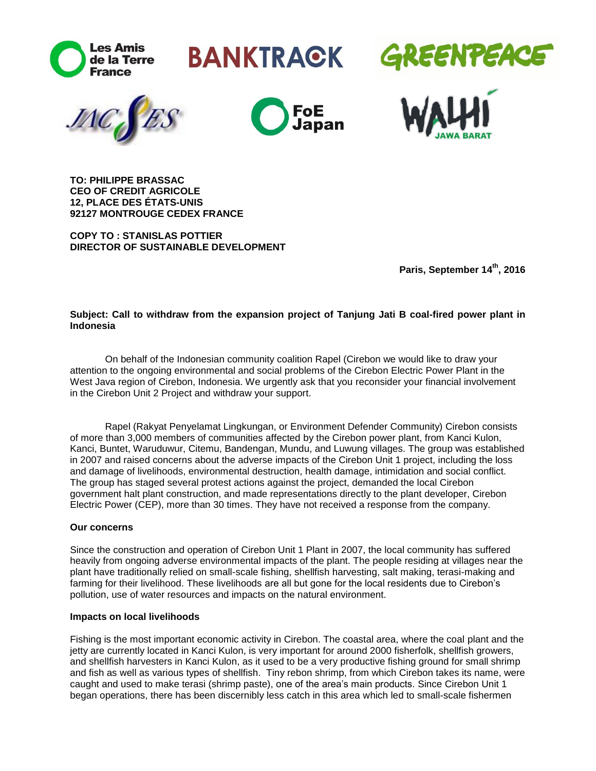











**TO: PHILIPPE BRASSAC CEO OF CREDIT AGRICOLE 12, PLACE DES ÉTATS-UNIS 92127 MONTROUGE CEDEX FRANCE** 

**COPY TO : STANISLAS POTTIER DIRECTOR OF SUSTAINABLE DEVELOPMENT**

**Paris, September 14th, 2016**

# **Subject: Call to withdraw from the expansion project of Tanjung Jati B coal-fired power plant in Indonesia**

On behalf of the Indonesian community coalition Rapel (Cirebon we would like to draw your attention to the ongoing environmental and social problems of the Cirebon Electric Power Plant in the West Java region of Cirebon, Indonesia. We urgently ask that you reconsider your financial involvement in the Cirebon Unit 2 Project and withdraw your support.

Rapel (Rakyat Penyelamat Lingkungan, or Environment Defender Community) Cirebon consists of more than 3,000 members of communities affected by the Cirebon power plant, from Kanci Kulon, Kanci, Buntet, Waruduwur, Citemu, Bandengan, Mundu, and Luwung villages. The group was established in 2007 and raised concerns about the adverse impacts of the Cirebon Unit 1 project, including the loss and damage of livelihoods, environmental destruction, health damage, intimidation and social conflict. The group has staged several protest actions against the project, demanded the local Cirebon government halt plant construction, and made representations directly to the plant developer, Cirebon Electric Power (CEP), more than 30 times. They have not received a response from the company.

### **Our concerns**

Since the construction and operation of Cirebon Unit 1 Plant in 2007, the local community has suffered heavily from ongoing adverse environmental impacts of the plant. The people residing at villages near the plant have traditionally relied on small-scale fishing, shellfish harvesting, salt making, terasi-making and farming for their livelihood. These livelihoods are all but gone for the local residents due to Cirebon's pollution, use of water resources and impacts on the natural environment.

# **Impacts on local livelihoods**

Fishing is the most important economic activity in Cirebon. The coastal area, where the coal plant and the jetty are currently located in Kanci Kulon, is very important for around 2000 fisherfolk, shellfish growers, and shellfish harvesters in Kanci Kulon, as it used to be a very productive fishing ground for small shrimp and fish as well as various types of shellfish. Tiny rebon shrimp, from which Cirebon takes its name, were caught and used to make terasi (shrimp paste), one of the area's main products. Since Cirebon Unit 1 began operations, there has been discernibly less catch in this area which led to small-scale fishermen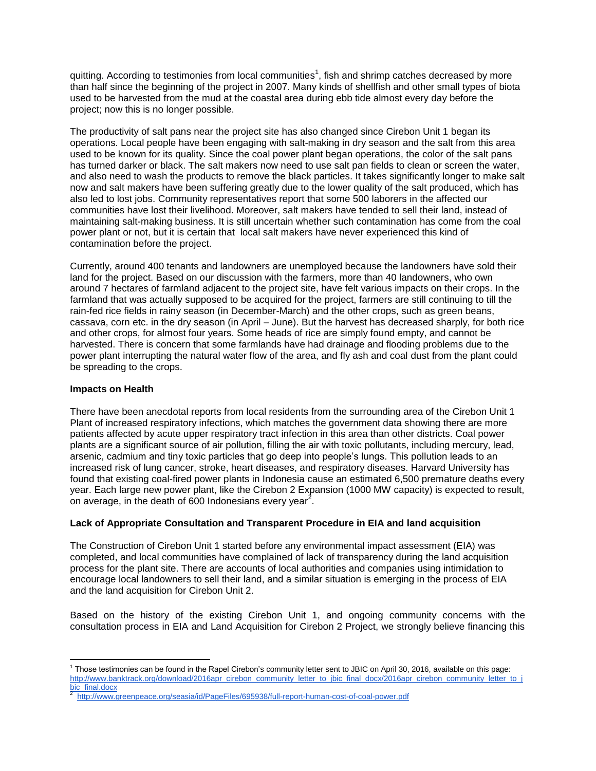quitting. According to testimonies from local communities<sup>1</sup>, fish and shrimp catches decreased by more than half since the beginning of the project in 2007. Many kinds of shellfish and other small types of biota used to be harvested from the mud at the coastal area during ebb tide almost every day before the project; now this is no longer possible.

The productivity of salt pans near the project site has also changed since Cirebon Unit 1 began its operations. Local people have been engaging with salt-making in dry season and the salt from this area used to be known for its quality. Since the coal power plant began operations, the color of the salt pans has turned darker or black. The salt makers now need to use salt pan fields to clean or screen the water, and also need to wash the products to remove the black particles. It takes significantly longer to make salt now and salt makers have been suffering greatly due to the lower quality of the salt produced, which has also led to lost jobs. Community representatives report that some 500 laborers in the affected our communities have lost their livelihood. Moreover, salt makers have tended to sell their land, instead of maintaining salt-making business. It is still uncertain whether such contamination has come from the coal power plant or not, but it is certain that local salt makers have never experienced this kind of contamination before the project.

Currently, around 400 tenants and landowners are unemployed because the landowners have sold their land for the project. Based on our discussion with the farmers, more than 40 landowners, who own around 7 hectares of farmland adjacent to the project site, have felt various impacts on their crops. In the farmland that was actually supposed to be acquired for the project, farmers are still continuing to till the rain-fed rice fields in rainy season (in December-March) and the other crops, such as green beans, cassava, corn etc. in the dry season (in April – June). But the harvest has decreased sharply, for both rice and other crops, for almost four years. Some heads of rice are simply found empty, and cannot be harvested. There is concern that some farmlands have had drainage and flooding problems due to the power plant interrupting the natural water flow of the area, and fly ash and coal dust from the plant could be spreading to the crops.

### **Impacts on Health**

There have been anecdotal reports from local residents from the surrounding area of the Cirebon Unit 1 Plant of increased respiratory infections, which matches the government data showing there are more patients affected by acute upper respiratory tract infection in this area than other districts. Coal power plants are a significant source of air pollution, filling the air with toxic pollutants, including mercury, lead, arsenic, cadmium and tiny toxic particles that go deep into people's lungs. This pollution leads to an increased risk of lung cancer, stroke, heart diseases, and respiratory diseases. Harvard University has found that existing coal-fired power plants in Indonesia cause an estimated 6,500 premature deaths every year. Each large new power plant, like the Cirebon 2 Expansion (1000 MW capacity) is expected to result, on average, in the death of 600 Indonesians every year<sup>2</sup>.

### **Lack of Appropriate Consultation and Transparent Procedure in EIA and land acquisition**

The Construction of Cirebon Unit 1 started before any environmental impact assessment (EIA) was completed, and local communities have complained of lack of transparency during the land acquisition process for the plant site. There are accounts of local authorities and companies using intimidation to encourage local landowners to sell their land, and a similar situation is emerging in the process of EIA and the land acquisition for Cirebon Unit 2.

Based on the history of the existing Cirebon Unit 1, and ongoing community concerns with the consultation process in EIA and Land Acquisition for Cirebon 2 Project, we strongly believe financing this

 $\overline{a}$ <sup>1</sup> Those testimonies can be found in the Rapel Cirebon's community letter sent to JBIC on April 30, 2016, available on this page: [http://www.banktrack.org/download/2016apr\\_cirebon\\_community\\_letter\\_to\\_jbic\\_final\\_docx/2016apr\\_cirebon\\_community\\_letter\\_to\\_j](http://www.banktrack.org/download/2016apr_cirebon_community_letter_to_jbic_final_docx/2016apr_cirebon_community_letter_to_jbic_final.docx) [bic\\_final.docx](http://www.banktrack.org/download/2016apr_cirebon_community_letter_to_jbic_final_docx/2016apr_cirebon_community_letter_to_jbic_final.docx)

<sup>2</sup> <http://www.greenpeace.org/seasia/id/PageFiles/695938/full-report-human-cost-of-coal-power.pdf>